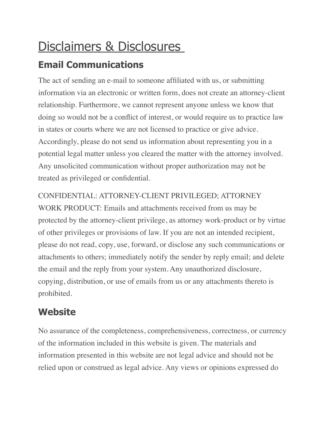## Disclaimers & Disclosures

## **Email Communications**

The act of sending an e-mail to someone affiliated with us, or submitting information via an electronic or written form, does not create an attorney-client relationship. Furthermore, we cannot represent anyone unless we know that doing so would not be a conflict of interest, or would require us to practice law in states or courts where we are not licensed to practice or give advice. Accordingly, please do not send us information about representing you in a potential legal matter unless you cleared the matter with the attorney involved. Any unsolicited communication without proper authorization may not be treated as privileged or confidential.

CONFIDENTIAL: ATTORNEY-CLIENT PRIVILEGED; ATTORNEY WORK PRODUCT: Emails and attachments received from us may be protected by the attorney-client privilege, as attorney work-product or by virtue of other privileges or provisions of law. If you are not an intended recipient, please do not read, copy, use, forward, or disclose any such communications or attachments to others; immediately notify the sender by reply email; and delete the email and the reply from your system. Any unauthorized disclosure, copying, distribution, or use of emails from us or any attachments thereto is prohibited.

## **Website**

No assurance of the completeness, comprehensiveness, correctness, or currency of the information included in this website is given. The materials and information presented in this website are not legal advice and should not be relied upon or construed as legal advice. Any views or opinions expressed do